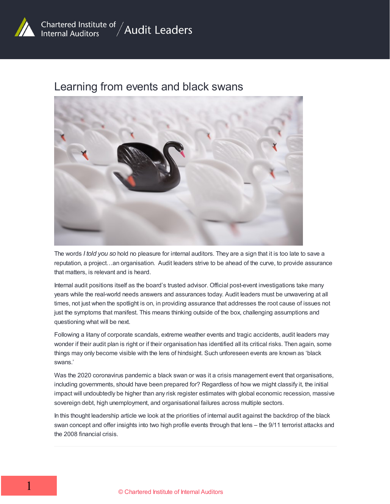

#### Learning from events and black swans



The words *I told you so* hold no pleasure for internal auditors. They are a sign that it is too late to save a reputation, a project…an organisation. Audit leaders strive to be ahead of the curve, to provide assurance that matters, is relevant and is heard.

Internal audit positions itself as the board's trusted advisor. Official post-event investigations take many years while the real-world needs answers and assurances today. Audit leaders must be unwavering at all times, not just when the spotlight is on, in providing assurance that addresses the root cause of issues not just the symptoms that manifest. This means thinking outside of the box, challenging assumptions and questioning what will be next.

Following a litany of corporate scandals, extreme weather events and tragic accidents, audit leaders may wonder if their audit plan is right or if their organisation has identified all its critical risks. Then again, some things may only become visible with the lens of hindsight. Such unforeseen events are known as 'black swans.'

Was the 2020 coronavirus pandemic a black swan or was it a crisis management event that organisations, including governments, should have been prepared for? Regardless of how we might classify it, the initial impact will undoubtedly be higher than any risk register estimates with global economic recession, massive sovereign debt, high unemployment, and organisational failures across multiple sectors.

In this thought leadership article we look at the priorities of internal audit against the backdrop of the black swan concept and offer insights into two high profile events through that lens – the 9/11 terrorist attacks and the 2008 financial crisis.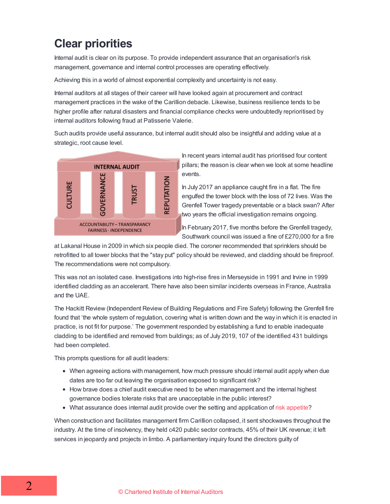# **Clear priorities**

Internal audit is clear on its purpose. To provide independent assurance that an organisation's risk management, governance and internal control processes are operating effectively.

Achieving this in a world of almost exponential complexity and uncertainty is not easy.

Internal auditors at all stages of their career will have looked again at procurement and contract management practices in the wake of the Carillion debacle. Likewise, business resilience tends to be higher profile after natural disasters and financial compliance checks were undoubtedly reprioritised by internal auditors following fraud at Patisserie Valerie.

Such audits provide useful assurance, but internal audit should also be insightful and adding value at a strategic, root cause level.



In recent years internal audit has prioritised four content pillars; the reason is clear when we look at some headline events.

In July 2017 an appliance caught fire in a flat. The fire engulfed the tower block with the loss of 72 lives. Was the Grenfell Tower tragedy preventable or a black swan? After two years the official investigation remains ongoing.

In February 2017, five months before the Grenfell tragedy, Southwark council was issued a fine of £270,000 for a fire

at Lakanal House in 2009 in which six people died. The coroner recommended that sprinklers should be retrofitted to all tower blocks that the "stay put" policy should be reviewed, and cladding should be fireproof. The recommendations were not compulsory.

This was not an isolated case. Investigations into high-rise fires in Merseyside in 1991 and Irvine in 1999 identified cladding as an accelerant. There have also been similar incidents overseas in France, Australia and the UAE.

The Hackitt Review (Independent Review of Building Regulations and Fire Safety) following the Grenfell fire found that 'the whole system of regulation, covering what is written down and the way in which it is enacted in practice, is not fit for purpose.' The government responded by establishing a fund to enable inadequate cladding to be identified and removed from buildings; as of July 2019, 107 of the identified 431 buildings had been completed.

This prompts questions for all audit leaders:

- When agreeing actions with management, how much pressure should internal audit apply when due dates are too far out leaving the organisation exposed to significant risk?
- How brave does a chief audit executive need to be when management and the internal highest governance bodies tolerate risks that are unacceptable in the public interest?
- What assurance does internal audit provide over the setting and application of risk [appetite](https://www.iia.org.uk/resources/risk-management/risk-appetite-the-role-of-internal-audit/)?

When construction and facilitates management firm Carillion collapsed, it sent shockwaves throughout the industry. At the time of insolvency, they held c420 public sector contracts, 45% of their UK revenue; it left services in jeopardy and projects in limbo. A parliamentary inquiry found the directors guilty of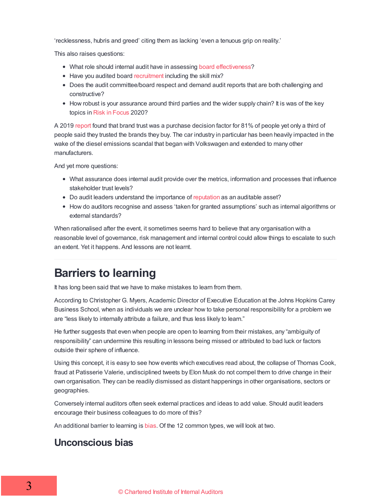'recklessness, hubris and greed' citing them as lacking 'even a tenuous grip on reality.'

This also raises questions:

- What role should internal audit have in assessing board [effectiveness](https://www.frc.org.uk/getattachment/61232f60-a338-471b-ba5a-bfed25219147/2018-Guidance-on-Board-Effectiveness-FINAL.PDF)?
- Have you audited board [recruitment](/resources/corporate-governance/non-executive-recruitment-the-role-of-internal-audit/) including the skill mix?
- Does the audit committee/board respect and demand audit reports that are both challenging and constructive?
- How robust is your assurance around third parties and the wider supply chain? It is was of the key topics in Risk in [Focus](https://www.iia.org.uk/research-and-insight/risk-in-focus/) 2020?

A 2019 [report](https://www.edelman.com/research/trust-barometer-special-report-in-brands-we-trust) found that brand trust was a purchase decision factor for 81% of people yet only a third of people said they trusted the brands they buy. The car industry in particular has been heavily impacted in the wake of the diesel emissions scandal that began with Volkswagen and extended to many other manufacturers.

And yet more questions:

- What assurance does internal audit provide over the metrics, information and processes that influence stakeholder trust levels?
- Do audit leaders understand the importance of [reputation](/resources/adding-value-to-your-organisation/reputation-the-overall-sense-of-integrity-and-trust-so-what-is-internal-audits-role/) as an auditable asset?
- How do auditors recognise and assess 'taken for granted assumptions' such as internal algorithms or external standards?

When rationalised after the event, it sometimes seems hard to believe that any organisation with a reasonable level of governance, risk management and internal control could allow things to escalate to such an extent. Yet it happens. And lessons are not learnt.

## **Barriers to learning**

It has long been said that we have to make mistakes to learn from them.

According to Christopher G. Myers, Academic Director of Executive Education at the Johns Hopkins Carey Business School, when as individuals we are unclear how to take personal responsibility for a problem we are "less likely to internally attribute a failure, and thus less likely to learn."

He further suggests that even when people are open to learning from their mistakes, any "ambiguity of responsibility" can undermine this resulting in lessons being missed or attributed to bad luck or factors outside their sphere of influence.

Using this concept, it is easy to see how events which executives read about, the collapse of Thomas Cook, fraud at Patisserie Valerie, undisciplined tweets by Elon Musk do not compel them to drive change in their own organisation. They can be readily dismissed as distant happenings in other organisations, sectors or geographies.

Conversely internal auditors often seek external practices and ideas to add value. Should audit leaders encourage their business colleagues to do more of this?

An additional barrier to learning is [bias](https://www.psychologytoday.com/us/blog/thoughts-thinking/201809/12-common-biases-affect-how-we-make-everyday-decisions). Of the 12 common types, we will look at two.

#### **Unconscious bias**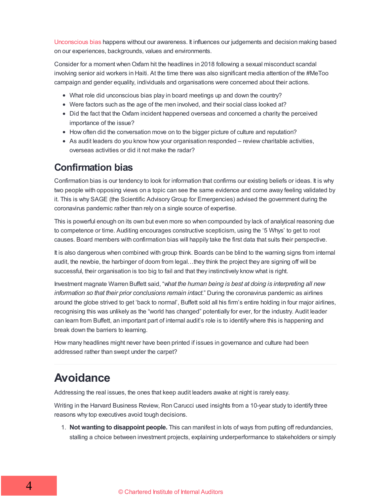[Unconscious](https://www.tolerance.org/professional-development/test-yourself-for-hidden-bias) bias happens without our awareness. It influences our judgements and decision making based on our experiences, backgrounds, values and environments.

Consider for a moment whenOxfam hit the headlines in 2018 following a sexual misconduct scandal involving senior aid workers in Haiti. At the time there was also significant media attention of the #MeToo campaign and gender equality, individuals and organisations were concerned about their actions.

- What role did unconscious bias play in board meetings up and down the country?
- Were factors such as the age of the men involved, and their social class looked at?
- Did the fact that the Oxfam incident happened overseas and concerned a charity the perceived importance of the issue?
- How often did the conversation move on to the bigger picture of culture and reputation?
- As audit leaders do you know how your organisation responded review charitable activities, overseas activities or did it not make the radar?

#### **Confirmation bias**

Confirmation bias is our tendency to look for information that confirms our existing beliefs or ideas. It is why two people with opposing views on a topic can see the same evidence and come away feeling validated by it. This is why SAGE (the Scientific Advisory Group for Emergencies) advised the government during the coronavirus pandemic rather than rely on a single source of expertise.

This is powerful enough on its own but even more so when compounded by lack of analytical reasoning due to competence or time. Auditing encourages constructive scepticism, using the '5 Whys' to get to root causes. Board members with confirmation bias will happily take the first data that suits their perspective.

It is also dangerous when combined with group think. Boards can be blind to the warning signs from internal audit, the newbie, the harbinger of doom from legal…they think the project they are signing off will be successful, their organisation is too big to fail and that they instinctively know what is right.

Investment magnate Warren Buffett said, "*what the human being is best at doing is interpreting all new information so that their prior conclusions remain intact*." During the coronavirus pandemic as airlines around the globe strived to get 'back to normal', Buffett sold all his firm's entire holding in four major airlines, recognising this was unlikely as the "world has changed" potentially for ever, for the industry. Audit leader can learn from Buffett, an important part of internal audit's role is to identify where this is happening and break down the barriers to learning.

How many headlines might never have been printed if issues in governance and culture had been addressed rather than swept under the carpet?

## **Avoidance**

Addressing the real issues, the ones that keep audit leaders awake at night is rarely easy.

Writing in the Harvard Business Review, Ron Carucci used insights from a 10-year study to identify three reasons why top executives avoid tough decisions.

1. **Not wanting to disappoint people.** This can manifest in lots of ways from putting off redundancies, stalling a choice between investment projects, explaining underperformance to stakeholders or simply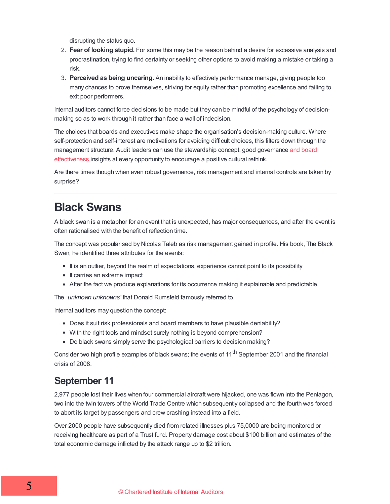disrupting the status quo.

- 2. **Fear of looking stupid.** For some this may be the reason behind a desire for excessive analysis and procrastination, trying to find certainty or seeking other options to avoid making a mistake or taking a risk.
- 3. **Perceived as being uncaring.** An inability to effectively performance manage, giving people too many chances to prove themselves, striving for equity rather than promoting excellence and failing to exit poor performers.

Internal auditors cannot force decisions to be made but they can be mindful of the psychology of decisionmaking so as to work through it rather than face a wall of indecision.

The choices that boards and executives make shape the organisation's decision-making culture. Where self-protection and self-interest are motivations for avoiding difficult choices, this filters down through the [management](https://www.frc.org.uk/getattachment/61232f60-a338-471b-ba5a-bfed25219147/2018-Guidance-on-Board-Effectiveness-FINAL.PDF) structure. Audit leaders can use the stewardship concept, good governance and board effectiveness insights at every opportunity to encourage a positive cultural rethink.

Are there times though when even robust governance, risk management and internal controls are taken by surprise?

### **Black Swans**

A black swan is a metaphor for an event that is unexpected, has major consequences, and after the event is often rationalised with the benefit of reflection time.

The concept was popularised by Nicolas Taleb as risk management gained in profile. His book, The Black Swan, he identified three attributes for the events:

- It is an outlier, beyond the realm of expectations, experience cannot point to its possibility
- It carries an extreme impact
- After the fact we produce explanations for its occurrence making it explainable and predictable.

The "*unknown unknowns"*that Donald Rumsfeld famously referred to.

Internal auditors may question the concept:

- Does it suit risk professionals and board members to have plausible deniability?
- With the right tools and mindset surely nothing is beyond comprehension?
- Do black swans simply serve the psychological barriers to decision making?

Consider two high profile examples of black swans; the events of 11<sup>th</sup> September 2001 and the financial crisis of 2008.

#### **September 11**

2,977 people lost their lives when four commercial aircraft were hijacked, one was flown into the Pentagon, two into the twin towers of the World Trade Centre which subsequently collapsed and the fourth was forced to abort its target by passengers and crew crashing instead into a field.

Over 2000 people have subsequently died from related illnesses plus 75,0000 are being monitored or receiving healthcare as part of a Trust fund. Property damage cost about \$100 billion and estimates of the total economic damage inflicted by the attack range up to \$2 trillion.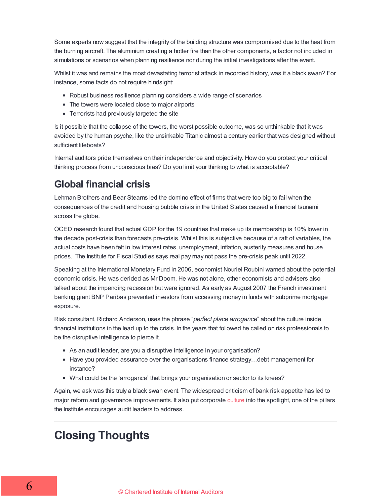Some experts now suggest that the integrity of the building structure was compromised due to the heat from the burning aircraft. The aluminium creating a hotter fire than the other components, a factor not included in simulations or scenarios when planning resilience nor during the initial investigations after the event.

Whilst it was and remains the most devastating terrorist attack in recorded history, was it a black swan? For instance, some facts do not require hindsight:

- Robust business resilience planning considers a wide range of scenarios
- The towers were located close to major airports
- Terrorists had previously targeted the site

Is it possible that the collapse of the towers, the worst possible outcome, was so unthinkable that it was avoided by the human psyche, like the unsinkable Titanic almost a century earlier that was designed without sufficient lifeboats?

Internal auditors pride themselves on their independence and objectivity. How do you protect your critical thinking process from unconscious bias? Do you limit your thinking to what is acceptable?

#### **Global financial crisis**

Lehman Brothers and Bear Stearns led the domino effect of firms that were too big to fail when the consequences of the credit and housing bubble crisis in the United States caused a financial tsunami across the globe.

OCED research found that actual GDP for the 19 countries that make up its membership is 10% lower in the decade post-crisis than forecasts pre-crisis. Whilst this is subjective because of a raft of variables, the actual costs have been felt in low interest rates, unemployment, inflation, austerity measures and house prices. The Institute for Fiscal Studies says real pay may not pass the pre-crisis peak until 2022.

Speaking at the International Monetary Fund in 2006, economist Nouriel Roubini warned about the potential economic crisis. He was derided as Mr Doom. He was not alone, other economists and advisers also talked about the impending recession but were ignored. As early as August 2007 the French investment banking giant BNP Paribas prevented investors from accessing money in funds with subprime mortgage exposure.

Risk consultant, Richard Anderson, uses the phrase "*perfect place arrogance*" about the culture inside financial institutions in the lead up to the crisis. In the years that followed he called on risk professionals to be the disruptive intelligence to pierce it.

- As an audit leader, are you a disruptive intelligence in your organisation?
- Have you provided assurance over the organisations finance strategy...debt management for instance?
- What could be the 'arrogance' that brings your organisation or sector to its knees?

Again, we ask was this truly a black swan event. The widespread criticism of bank risk appetite has led to major reform and governance improvements. It also put corporate [culture](https://www.iia.org.uk/resources/ethics-values-and-culture/organisational-culture/auditing-culture/) into the spotlight, one of the pillars the Institute encourages audit leaders to address.

## **Closing Thoughts**